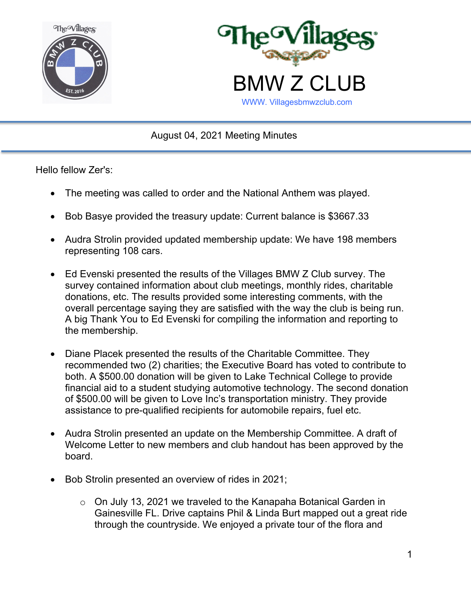



August 04, 2021 Meeting Minutes

Hello fellow Zer's:

- The meeting was called to order and the National Anthem was played.
- Bob Basye provided the treasury update: Current balance is \$3667.33
- Audra Strolin provided updated membership update: We have 198 members representing 108 cars.
- Ed Evenski presented the results of the Villages BMW Z Club survey. The survey contained information about club meetings, monthly rides, charitable donations, etc. The results provided some interesting comments, with the overall percentage saying they are satisfied with the way the club is being run. A big Thank You to Ed Evenski for compiling the information and reporting to the membership.
- Diane Placek presented the results of the Charitable Committee. They recommended two (2) charities; the Executive Board has voted to contribute to both. A \$500.00 donation will be given to Lake Technical College to provide financial aid to a student studying automotive technology. The second donation of \$500.00 will be given to Love Inc's transportation ministry. They provide assistance to pre-qualified recipients for automobile repairs, fuel etc.
- Audra Strolin presented an update on the Membership Committee. A draft of Welcome Letter to new members and club handout has been approved by the board.
- Bob Strolin presented an overview of rides in 2021;
	- o On July 13, 2021 we traveled to the Kanapaha Botanical Garden in Gainesville FL. Drive captains Phil & Linda Burt mapped out a great ride through the countryside. We enjoyed a private tour of the flora and